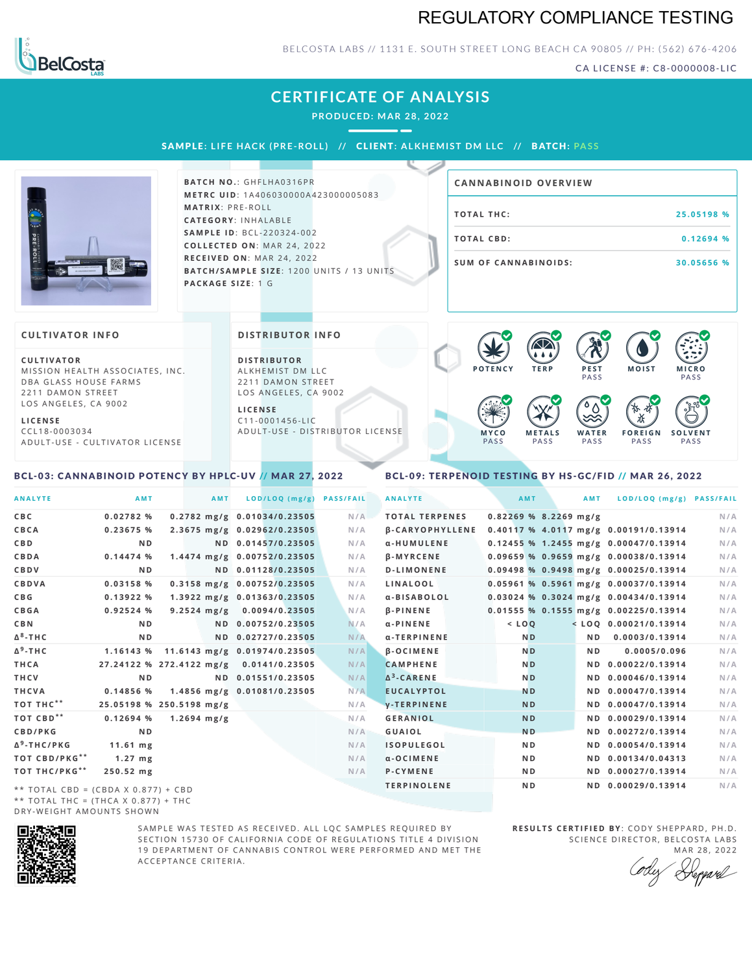## REGULATORY COMPLIANCE TESTING



### BELCOSTA LABS // 1131 E. SOUTH STREET LONG BEACH CA 90805 // PH: (562) 676-4206

CA LICENSE #: C8-0000008-LIC

**M O IS T M IC R O**

PA S S

## **CERTIFICATE OF ANALYSIS**

**PRODUCED: MA R 28, 2022**

SAMPLE: LIFE HACK (PRE-ROLL) // CLIENT: ALKHEMIST DM LLC // BATCH: PASS



**BATCH NO.: GHFLHA0316PR M E T R C U ID** :1 A 4 0 6 0 3 0 0 0 0 A 4 2 3 0 0 0 0 0 5 0 8 3 **M AT R I X** :P R E - R O L L **CAT E G O R Y** : I N H A L A B L E **SA M P L E I D** :B C L - 2 2 0 3 2 4 - 0 0 2  $COLLECTED ON: MAR 24, 2022$ **R E C E I V E D O N** : M A R 2 4 ,2 0 2 2 **BATCH/SAMPLE SIZE:** 1200 UNITS / 13 UNITS **PAC KA G E S I Z E** : 1 G

| <b>CANNABINOID OVERVIEW</b> |             |
|-----------------------------|-------------|
| TOTAL THC:                  | 25.05198 %  |
| TOTAL CBD:                  | $0.12694$ % |
| <b>SUM OF CANNABINOIDS:</b> | 30.05656 %  |

**P O T E N C Y T E R P P E S T PASS** 

 $\bullet$  60 60 60 60

#### **CULTIVATOR I N FO**

**C U L T I VAT O R** MISSION HEALTH ASSOCIATES, INC. DBA GLASS HOUSE FARMS 2211 DAMON STREET LOS ANGELES, CA 9002

**L I C E N S E**

C C L 1 8 - 0 0 0 3 0 3 4 A D U L T - U S E - C U L T I V A T O R L I CENSE

#### **DI STRIBUTOR I N FO**

**D I S T R IB U T O R** ALKHEMIST DM LLC 2211 DAMON STREET LOS ANGELES, CA 9002

**L I C E N S E**  $C11 - 0001456 - HC$ A D U L T - U S E - D I STRI B U T O R LICENSE



### <span id="page-0-0"></span>BCL-03: CANNABINOID POTENCY BY HPLC-UV // MAR 27, 2022

### <span id="page-0-1"></span>BCL-09: TERPENOID TESTING BY HS-GC/FID // MAR 26, 2022

| <b>ANALYTE</b>                      | AMT                                     | AMT              | LOD/LOQ (mg/g)               | <b>PASS/FAIL</b> | <b>ANALYTE</b>         | AMT            |                         | AMT            | LOD/LOQ (mg/g) PASS/FAIL                |     |
|-------------------------------------|-----------------------------------------|------------------|------------------------------|------------------|------------------------|----------------|-------------------------|----------------|-----------------------------------------|-----|
| C B C                               | 0.02782%                                |                  | 0.2782 mg/g 0.01034/0.23505  | N/A              | <b>TOTAL TERPENES</b>  |                | $0.82269$ % 8.2269 mg/g |                |                                         | N/A |
| CBCA                                | 0.23675 %                               |                  | 2.3675 mg/g 0.02962/0.23505  | N/A              | <b>B-CARYOPHYLLENE</b> |                |                         |                | 0.40117 % 4.0117 mg/g 0.00191/0.13914   | N/A |
| C B D                               | N <sub>D</sub>                          |                  | ND 0.01457/0.23505           | N/A              | α-HUMULENE             |                |                         |                | $0.12455$ % 1.2455 mg/g 0.00047/0.13914 | N/A |
| <b>CBDA</b>                         | 0.14474%                                |                  | 1.4474 mg/g 0.00752/0.23505  | N/A              | <b>B-MYRCENE</b>       |                |                         |                | $0.09659$ % 0.9659 mg/g 0.00038/0.13914 | N/A |
| <b>CBDV</b>                         | N <sub>D</sub>                          |                  | ND 0.01128/0.23505           | N/A              | <b>D-LIMONENE</b>      |                |                         |                | $0.09498$ % 0.9498 mg/g 0.00025/0.13914 | N/A |
| CBDVA                               | 0.03158 %                               |                  | 0.3158 mg/g 0.00752/0.23505  | N/A              | LINALOOL               |                |                         |                | $0.05961$ % 0.5961 mg/g 0.00037/0.13914 | N/A |
| C B G                               | 0.13922 %                               |                  | 1.3922 mg/g 0.01363/0.23505  | N/A              | α-BISABOLOL            |                |                         |                | 0.03024 % 0.3024 mg/g 0.00434/0.13914   | N/A |
| <b>CBGA</b>                         | 0.92524 %                               |                  | 9.2524 mg/g 0.0094/0.23505   | N/A              | <b>B-PINENE</b>        |                |                         |                | 0.01555 % 0.1555 mg/g 0.00225/0.13914   | N/A |
| C B N                               | ND.                                     |                  | ND 0.00752/0.23505           | N/A              | $\alpha$ -PINENE       | $<$ LOQ        |                         |                | $<$ LOQ 0.00021/0.13914                 | N/A |
| Δ <sup>8</sup> -ΤΗ C                | N <sub>D</sub>                          |                  | ND 0.02727/0.23505           | N/A              | α-TERPINENE            | N <sub>D</sub> |                         | N D            | 0.0003/0.13914                          | N/A |
| Δ <sup>9</sup> -ΤΗ C                | 1.16143 %                               |                  | 11.6143 mg/g 0.01974/0.23505 | N/A              | <b>B-OCIMENE</b>       | <b>ND</b>      |                         | N <sub>D</sub> | 0.0005/0.096                            | N/A |
| THCA                                | 27.24122 % 272.4122 mg/g 0.0141/0.23505 |                  |                              | N/A              | <b>CAMPHENE</b>        | <b>ND</b>      |                         |                | ND 0.00022/0.13914                      | N/A |
| THCV                                | N <sub>D</sub>                          |                  | ND 0.01551/0.23505           | N/A              | $\Delta^3$ -CARENE     | <b>ND</b>      |                         |                | ND 0.00046/0.13914                      | N/A |
| THCVA                               | 0.14856%                                |                  | 1.4856 mg/g 0.01081/0.23505  | N/A              | <b>EUCALYPTOL</b>      | <b>ND</b>      |                         |                | ND 0.00047/0.13914                      | N/A |
| тот тнс**                           | 25.05198 % 250.5198 mg/g                |                  |                              | N/A              | <b>V-TERPINENE</b>     | <b>ND</b>      |                         |                | ND 0.00047/0.13914                      | N/A |
| тот свр**                           | 0.12694%                                | $1.2694 \; mg/g$ |                              | N/A              | <b>GERANIOL</b>        | <b>ND</b>      |                         |                | ND 0.00029/0.13914                      | N/A |
| <b>CBD/PKG</b>                      | N <sub>D</sub>                          |                  |                              | N/A              | <b>GUAIOL</b>          | <b>ND</b>      |                         |                | ND 0.00272/0.13914                      | N/A |
| Δ <sup>9</sup> -ΤΗ C / P K G        | $11.61$ mg                              |                  |                              | N/A              | <b>ISOPULEGOL</b>      | N <sub>D</sub> |                         |                | ND 0.00054/0.13914                      | N/A |
| ТОТ СВD/РКG**                       | $1.27$ mg                               |                  |                              | N/A              | $\alpha$ -OCIMENE      | N <sub>D</sub> |                         |                | ND 0.00134/0.04313                      | N/A |
| ТОТ ТНС/РКG**                       | 250.52 mg                               |                  |                              | N/A              | P-CYMENE               | N <sub>D</sub> |                         |                | ND 0.00027/0.13914                      | N/A |
| ** TOTAL CBD = (CBDA X 0.877) + CBD |                                         |                  |                              |                  | <b>TERPINOLENE</b>     | N <sub>D</sub> |                         |                | ND 0.00029/0.13914                      | N/A |
|                                     |                                         |                  |                              |                  |                        |                |                         |                |                                         |     |

\*\* TOTAL THC = (THCA X  $0.877$ ) + THC DRY-WEIGHT AMOUNTS SHOWN



SAMPLE WAS TESTED AS RECEIVED. ALL LOC SAMPLES REOUIRED BY SECTION 15730 OF CALIFORNIA CODE OF REGULATIONS TITLE 4 DIVISION 19 DEPARTMENT OF CANNABIS CONTROL WERE PERFORMED AND MET THE A C C E P T A N C E C R I T E R I A.

**RESULTS CERTIFIED BY: CODY SHEPPARD, PH.D.** SCIENCE DIRECTOR, BELCOSTA LABS MAR 28, 2022

Depard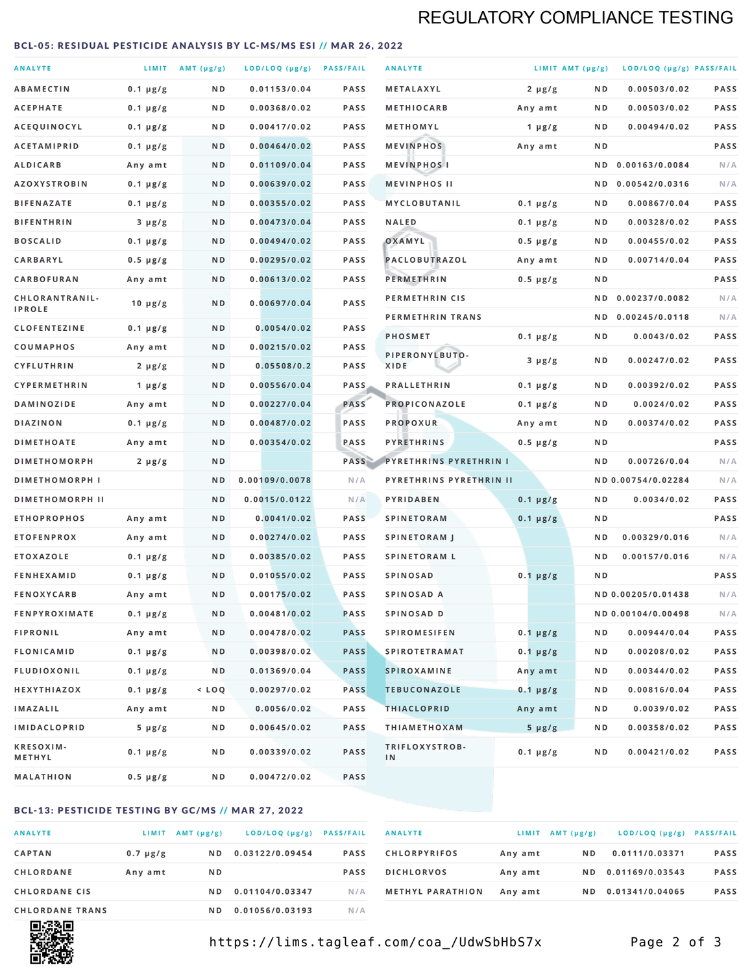# REGULATORY COMPLIANCE TESTING

### <span id="page-1-0"></span>BCL-05: RESIDUAL PESTICIDE ANALYSIS BY LC-MS/MS ESI // MAR 26, 2022

| <b>ANALYTE</b>                  |                  | LIMIT $AMT(\mu g/g)$ | LOD/LOQ (µg/g) PASS/FAIL |             | <b>ANALYTE</b>                | LIMIT AMT $(\mu g/g)$ |     | LOD/LOQ (µg/g) PASS/FAIL |             |
|---------------------------------|------------------|----------------------|--------------------------|-------------|-------------------------------|-----------------------|-----|--------------------------|-------------|
| <b>ABAMECTIN</b>                | $0.1 \mu g/g$    | N D                  | 0.01153/0.04             | <b>PASS</b> | <b>METALAXYL</b>              | $2 \mu g/g$           | N D | 0.00503/0.02             | <b>PASS</b> |
| <b>ACEPHATE</b>                 | $0.1 \mu g/g$    | ND                   | 0.00368/0.02             | <b>PASS</b> | <b>METHIOCARB</b>             | Any amt               | ND. | 0.00503/0.02             | PASS        |
| ACEQUINOCYL                     | $0.1 \mu g/g$    | N D                  | 0.00417/0.02             | <b>PASS</b> | METHOMYL                      | 1 $\mu$ g/g           | N D | 0.00494/0.02             | PASS        |
| <b>ACETAMIPRID</b>              | $0.1 \mu g/g$    | N D                  | 0.00464/0.02             | <b>PASS</b> | <b>MEVINPHOS</b>              | Any amt               | N D |                          | PASS        |
| <b>ALDICARB</b>                 | Any amt          | N D                  | 0.01109/0.04             | <b>PASS</b> | <b>MEVINPHOSI</b>             |                       | N D | 0.00163/0.0084           | N/A         |
| <b>AZOXYSTROBIN</b>             | $0.1 \mu g/g$    | N D                  | 0.00639/0.02             | <b>PASS</b> | <b>MEVINPHOS II</b>           |                       | N D | 0.00542/0.0316           | N/A         |
| <b>BIFENAZATE</b>               | $0.1 \mu g/g$    | N D                  | 0.00355/0.02             | <b>PASS</b> | <b>MYCLOBUTANIL</b>           | $0.1 \mu g/g$         | N D | 0.00867/0.04             | <b>PASS</b> |
| <b>BIFENTHRIN</b>               | $3 \mu g/g$      | N D                  | 0.00473/0.04             | <b>PASS</b> | <b>NALED</b>                  | $0.1 \mu g/g$         | ND. | 0.00328/0.02             | PASS        |
| <b>BOSCALID</b>                 | $0.1 \mu g/g$    | N D                  | 0.00494/0.02             | <b>PASS</b> | OXAMYL                        | $0.5 \mu g/g$         | ND. | 0.00455/0.02             | PASS        |
| <b>CARBARYL</b>                 | $0.5 \mu g/g$    | N D                  | 0.00295/0.02             | <b>PASS</b> | PACLOBUTRAZOL                 | Any amt               | N D | 0.00714/0.04             | <b>PASS</b> |
| CARBOFURAN                      | Any amt          | N D                  | 0.00613/0.02             | <b>PASS</b> | <b>PERMETHRIN</b>             | $0.5 \mu g/g$         | ND. |                          | PASS        |
| CHLORANTRANIL-<br><b>IPROLE</b> | $10 \mu g/g$     | N D                  | 0.00697/0.04             | PASS        | PERMETHRIN CIS                |                       | N D | 0.00237/0.0082           | N/A         |
| <b>CLOFENTEZINE</b>             | $0.1 \mu g/g$    | N D                  | 0.0054/0.02              | <b>PASS</b> | PERMETHRIN TRANS              |                       |     | ND 0.00245/0.0118        | N/A         |
| COUMAPHOS                       | Any amt          | ND                   | 0.00215/0.02             | <b>PASS</b> | <b>PHOSMET</b>                | $0.1 \mu g/g$         | N D | 0.0043/0.02              | PASS        |
| CYFLUTHRIN                      | $2 \mu g/g$      | ND                   | 0.05508/0.2              | <b>PASS</b> | PIPERONYLBUTO-<br><b>XIDE</b> | $3 \mu g/g$           | N D | 0.00247/0.02             | PASS        |
| <b>CYPERMETHRIN</b>             | 1 $\mu$ g/g      | N D                  | 0.00556/0.04             | <b>PASS</b> | <b>PRALLETHRIN</b>            | $0.1 \mu g/g$         | N D | 0.00392/0.02             | PASS        |
| <b>DAMINOZIDE</b>               | Any amt          | N D                  | 0.00227/0.04             | PASS        | PROPICONAZOLE                 | $0.1 \mu g/g$         | N D | 0.0024/0.02              | <b>PASS</b> |
| <b>DIAZINON</b>                 | $0.1 \mu g/g$    | N D                  | 0.00487/0.02             | PASS        | <b>PROPOXUR</b>               | Any amt               | ND. | 0.00374/0.02             | PASS        |
| <b>DIMETHOATE</b>               | Any amt          | N D                  | 0.00354/0.02             | PASS        | <b>PYRETHRINS</b>             | $0.5 \mu g/g$         | N D |                          | PASS        |
| <b>DIMETHOMORPH</b>             | $2 \mu g/g$      | N D                  |                          | PASS        | <b>PYRETHRINS PYRETHRIN I</b> |                       | ND  | 0.00726/0.04             | N/A         |
| <b>DIMETHOMORPH I</b>           |                  | ND                   | 0.00109/0.0078           | N/A         | PYRETHRINS PYRETHRIN II       |                       |     | ND 0.00754/0.02284       | N/A         |
| <b>DIMETHOMORPH II</b>          |                  | N <sub>D</sub>       | 0.0015/0.0122            | N/A         | PYRIDABEN                     | $0.1 \mu g/g$         | N D | 0.0034/0.02              | PASS        |
| <b>ETHOPROPHOS</b>              | Any amt          | N D                  | 0.0041/0.02              | <b>PASS</b> | <b>SPINETORAM</b>             | $0.1 \mu g/g$         | N D |                          | PASS        |
| <b>ETOFENPROX</b>               | Any amt          | N D                  | 0.00274/0.02             | <b>PASS</b> | <b>SPINETORAM J</b>           |                       | N D | 0.00329/0.016            | N/A         |
| <b>ETOXAZOLE</b>                | $0.1 \mu g/g$    | N D                  | 0.00385/0.02             | <b>PASS</b> | <b>SPINETORAM L</b>           |                       | N D | 0.00157/0.016            | N/A         |
| <b>FENHEXAMID</b>               | $0.1 \mu g/g$    | N D                  | 0.01055/0.02             | <b>PASS</b> | <b>SPINOSAD</b>               | $0.1 \mu g/g$         | N D |                          | <b>PASS</b> |
| <b>FENOXYCARB</b>               | Any amt          | ND                   | 0.00175/0.02             | <b>PASS</b> | SPINOSAD A                    |                       |     | ND 0.00205/0.01438       | N/A         |
| <b>FENPYROXIMATE</b>            | $0.1 \mu g/g$    | N D                  | 0.00481/0.02             | <b>PASS</b> | SPINOSAD D                    |                       |     | ND 0.00104/0.00498       | N/A         |
| <b>FIPRONIL</b>                 | Any amt          | N D                  | 0.00478/0.02             | <b>PASS</b> | <b>SPIROMESIFEN</b>           | $0.1 \mu g/g$         | N D | 0.00944/0.04             | PASS        |
| <b>FLONICAMID</b>               | $0.1 \mu g/g$    | N D                  | 0.00398/0.02             | <b>PASS</b> | <b>SPIROTETRAMAT</b>          | $0.1 \mu g/g$         | N D | 0.00208/0.02             | PASS        |
| <b>FLUDIOXONIL</b>              | $0.1 \, \mu g/g$ | N D                  | 0.01369/0.04             | <b>PASS</b> | <b>SPIROXAMINE</b>            | Any amt               | N D | 0.00344/0.02             | PASS        |
| <b>HEXYTHIAZOX</b>              | $0.1 \mu g/g$    | $<$ LOQ              | 0.00297/0.02             | <b>PASS</b> | <b>TEBUCONAZOLE</b>           | $0.1 \mu g/g$         | N D | 0.00816/0.04             | PASS        |
| <b>IMAZALIL</b>                 | Any amt          | N D                  | 0.0056/0.02              | PASS        | <b>THIACLOPRID</b>            | Any amt               | ND. | 0.0039/0.02              | PASS        |
| <b>IMIDACLOPRID</b>             | $5 \mu g/g$      | ND                   | 0.00645/0.02             | PASS        | <b>THIAMETHOXAM</b>           | $5 \mu g/g$           | N D | 0.00358/0.02             | PASS        |
| KRESOXIM-<br>METHYL             | $0.1 \mu g/g$    | N D                  | 0.00339/0.02             | PASS        | TRIFLOXYSTROB-<br>IN          | $0.1 \mu g/g$         | N D | 0.00421/0.02             | PASS        |
| <b>MALATHION</b>                | $0.5 \mu g/g$    | N D                  | 0.00472/0.02             | PASS        |                               |                       |     |                          |             |

## BCL-13: PESTICIDE TESTING BY GC/MS // MAR 27, 2022

| <b>ANALYTE</b>         | <b>LIMIT</b>  | $AMT(\mu g/g)$ | LOD/LOQ (µg/g)  | <b>PASS/FAIL</b> |
|------------------------|---------------|----------------|-----------------|------------------|
| <b>CAPTAN</b>          | $0.7 \mu g/g$ | N D            | 0.03122/0.09454 | <b>PASS</b>      |
| <b>CHLORDANE</b>       | Any amt       | N D            |                 | <b>PASS</b>      |
| <b>CHLORDANE CIS</b>   |               | N D            | 0.01104/0.03347 | N/A              |
| <b>CHLORDANE TRANS</b> |               | N D            | 0.01056/0.03193 | N / A            |

| <b>ANALYTE</b>          |         | $LIMIT$ AMT $(\mu g/g)$ | LOD/LOQ (µg/g) PASS/FAIL |             |
|-------------------------|---------|-------------------------|--------------------------|-------------|
| <b>CHLORPYRIFOS</b>     | Any amt | N D                     | 0.0111/0.03371           | <b>PASS</b> |
| <b>DICHLORVOS</b>       | Any amt | ND.                     | 0.01169/0.03543          | <b>PASS</b> |
| <b>METHYL PARATHION</b> | Any amt | ND.                     | 0.01341/0.04065          | <b>PASS</b> |